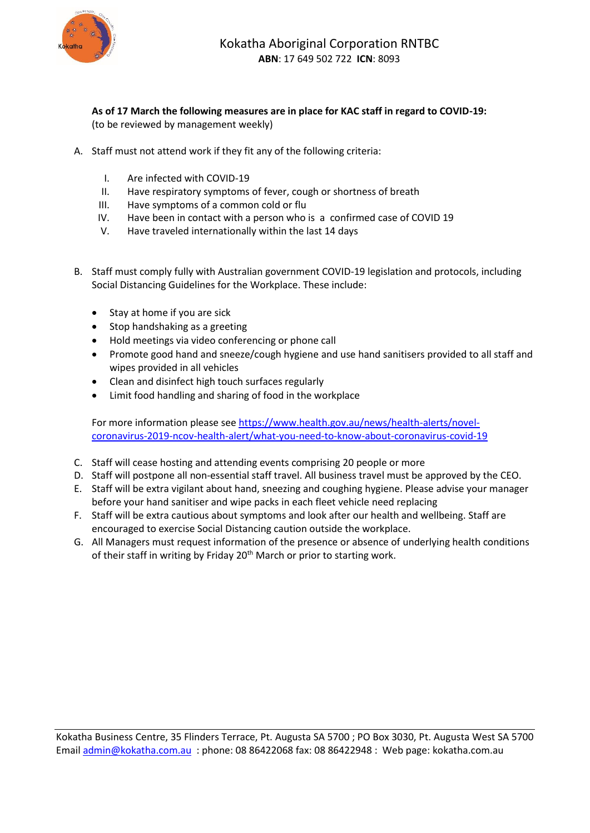

**As of 17 March the following measures are in place for KAC staff in regard to COVID-19:**  (to be reviewed by management weekly)

- A. Staff must not attend work if they fit any of the following criteria:
	- I. Are infected with COVID-19
	- II. Have respiratory symptoms of fever, cough or shortness of breath
	- III. Have symptoms of a common cold or flu
	- IV. Have been in contact with a person who is a confirmed case of COVID 19
	- V. Have traveled internationally within the last 14 days
- B. Staff must comply fully with Australian government COVID-19 legislation and protocols, including Social Distancing Guidelines for the Workplace. These include:
	- Stay at home if you are sick
	- Stop handshaking as a greeting
	- Hold meetings via video conferencing or phone call
	- Promote good hand and sneeze/cough hygiene and use hand sanitisers provided to all staff and wipes provided in all vehicles
	- Clean and disinfect high touch surfaces regularly
	- Limit food handling and sharing of food in the workplace

For more information please see [https://www.health.gov.au/news/health-alerts/novel](https://www.health.gov.au/news/health-alerts/novel-coronavirus-2019-ncov-health-alert/what-you-need-to-know-about-coronavirus-covid-19)[coronavirus-2019-ncov-health-alert/what-you-need-to-know-about-coronavirus-covid-19](https://www.health.gov.au/news/health-alerts/novel-coronavirus-2019-ncov-health-alert/what-you-need-to-know-about-coronavirus-covid-19)

- C. Staff will cease hosting and attending events comprising 20 people or more
- D. Staff will postpone all non-essential staff travel. All business travel must be approved by the CEO.
- E. Staff will be extra vigilant about hand, sneezing and coughing hygiene. Please advise your manager before your hand sanitiser and wipe packs in each fleet vehicle need replacing
- F. Staff will be extra cautious about symptoms and look after our health and wellbeing. Staff are encouraged to exercise Social Distancing caution outside the workplace.
- G. All Managers must request information of the presence or absence of underlying health conditions of their staff in writing by Friday 20<sup>th</sup> March or prior to starting work.